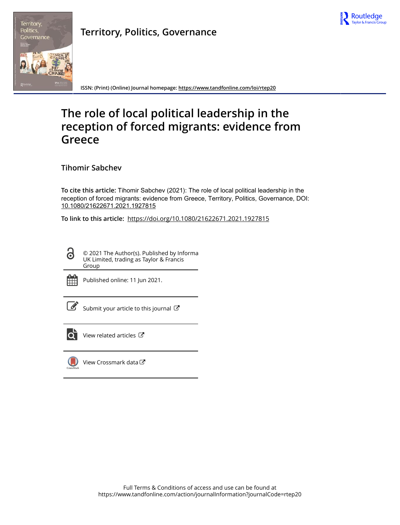



**Territory, Politics, Governance**

**ISSN: (Print) (Online) Journal homepage:<https://www.tandfonline.com/loi/rtep20>**

# **The role of local political leadership in the reception of forced migrants: evidence from Greece**

**Tihomir Sabchev**

**To cite this article:** Tihomir Sabchev (2021): The role of local political leadership in the reception of forced migrants: evidence from Greece, Territory, Politics, Governance, DOI: [10.1080/21622671.2021.1927815](https://www.tandfonline.com/action/showCitFormats?doi=10.1080/21622671.2021.1927815)

**To link to this article:** <https://doi.org/10.1080/21622671.2021.1927815>

© 2021 The Author(s). Published by Informa UK Limited, trading as Taylor & Francis Group



 $\bullet$ 

Published online: 11 Jun 2021.

[Submit your article to this journal](https://www.tandfonline.com/action/authorSubmission?journalCode=rtep20&show=instructions)  $\mathbb{Z}$ 



[View related articles](https://www.tandfonline.com/doi/mlt/10.1080/21622671.2021.1927815)  $\mathbb{Z}$ 



[View Crossmark data](http://crossmark.crossref.org/dialog/?doi=10.1080/21622671.2021.1927815&domain=pdf&date_stamp=2021-06-11)  $\mathbb{Z}$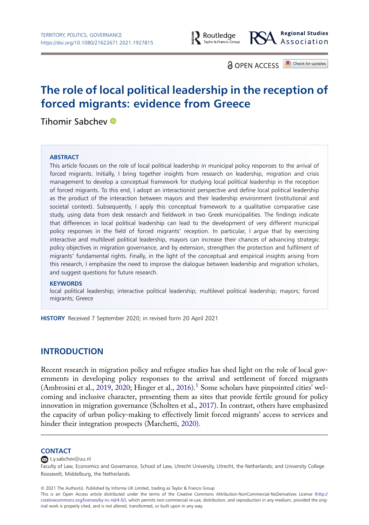

**a** OPFN ACCESS **D** Check for updates

# The role of local political leadership in the reception of forced migrants: evidence from Greece

Tihomir Sabchev

#### **ABSTRACT**

This article focuses on the role of local political leadership in municipal policy responses to the arrival of forced migrants. Initially, I bring together insights from research on leadership, migration and crisis management to develop a conceptual framework for studying local political leadership in the reception of forced migrants. To this end, I adopt an interactionist perspective and define local political leadership as the product of the interaction between mayors and their leadership environment (institutional and societal context). Subsequently, I apply this conceptual framework to a qualitative comparative case study, using data from desk research and fieldwork in two Greek municipalities. The findings indicate that differences in local political leadership can lead to the development of very different municipal policy responses in the field of forced migrants' reception. In particular, I argue that by exercising interactive and multilevel political leadership, mayors can increase their chances of advancing strategic policy objectives in migration governance, and by extension, strengthen the protection and fulfilment of migrants' fundamental rights. Finally, in the light of the conceptual and empirical insights arising from this research, I emphasize the need to improve the dialogue between leadership and migration scholars, and suggest questions for future research.

#### **KEYWORDS**

local political leadership; interactive political leadership; multilevel political leadership; mayors; forced migrants; Greece

HISTORY Received 7 September 2020; in revised form 20 April 2021

# INTRODUCTION

<span id="page-1-2"></span><span id="page-1-0"></span>Recent research in migration policy and refugee studies has shed light on the role of local governments in developing policy responses to the arrival and settlement of forced migrants (Ambrosini et al., [2019,](#page-18-0) [2020;](#page-17-0) Hinger et al., [2016\)](#page-19-0).[1](#page-17-1) Some scholars have pinpointed cities' welcoming and inclusive character, presenting them as sites that provide fertile ground for policy innovation in migration governance (Scholten et al., [2017](#page-20-0)). In contrast, others have emphasized the capacity of urban policy-making to effectively limit forced migrants' access to services and hinder their integration prospects (Marchetti, [2020](#page-19-1)).

#### <span id="page-1-1"></span>**CONTACT**

 $\bullet$ [t.y.sabchev@uu.nl](mailto:t.y.sabchev@uu.nl)

Faculty of Law, Economics and Governance, School of Law, Utrecht University, Utrecht, the Netherlands; and University College Roosevelt, Middelburg, the Netherlands.

© 2021 The Author(s). Published by Informa UK Limited, trading as Taylor & Francis Group

This is an Open Access article distributed under the terms of the Creative Commons Attribution-NonCommercial-NoDerivatives License ([http://](http://creativecommons.org/licenses/by-nc-nd/4.0/) [creativecommons.org/licenses/by-nc-nd/4.0/\)](http://creativecommons.org/licenses/by-nc-nd/4.0/), which permits non-commercial re-use, distribution, and reproduction in any medium, provided the original work is properly cited, and is not altered, transformed, or built upon in any way.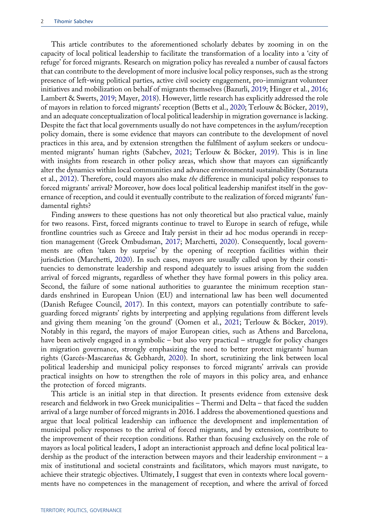<span id="page-2-5"></span><span id="page-2-1"></span><span id="page-2-0"></span>This article contributes to the aforementioned scholarly debates by zooming in on the capacity of local political leadership to facilitate the transformation of a locality into a 'city of refuge' for forced migrants. Research on migration policy has revealed a number of causal factors that can contribute to the development of more inclusive local policy responses, such as the strong presence of left-wing political parties, active civil society engagement, pro-immigrant volunteer initiatives and mobilization on behalf of migrants themselves (Bazurli, [2019](#page-18-1); Hinger et al., [2016](#page-19-0); Lambert & Swerts, [2019;](#page-19-2) Mayer, [2018](#page-19-3)). However, little research has explicitly addressed the role of mayors in relation to forced migrants' reception (Betts et al., [2020](#page-18-2); Terlouw & Böcker, [2019\)](#page-20-1), and an adequate conceptualization of local political leadership in migration governance is lacking. Despite the fact that local governments usually do not have competences in the asylum/reception policy domain, there is some evidence that mayors can contribute to the development of novel practices in this area, and by extension strengthen the fulfilment of asylum seekers or undocumented migrants' human rights (Sabchev, [2021](#page-20-2); Terlouw & Böcker, [2019](#page-20-1)). This is in line with insights from research in other policy areas, which show that mayors can significantly alter the dynamics within local communities and advance environmental sustainability (Sotarauta et al., [2012\)](#page-20-3). Therefore, could mayors also make the difference in municipal policy responses to forced migrants' arrival? Moreover, how does local political leadership manifest itself in the governance of reception, and could it eventually contribute to the realization of forced migrants' fundamental rights?

<span id="page-2-8"></span><span id="page-2-7"></span><span id="page-2-4"></span><span id="page-2-2"></span>Finding answers to these questions has not only theoretical but also practical value, mainly for two reasons. First, forced migrants continue to travel to Europe in search of refuge, while frontline countries such as Greece and Italy persist in their ad hoc modus operandi in reception management (Greek Ombudsman, [2017](#page-19-4); Marchetti, [2020](#page-19-1)). Consequently, local governments are often 'taken by surprise' by the opening of reception facilities within their jurisdiction (Marchetti, [2020\)](#page-19-1). In such cases, mayors are usually called upon by their constituencies to demonstrate leadership and respond adequately to issues arising from the sudden arrival of forced migrants, regardless of whether they have formal powers in this policy area. Second, the failure of some national authorities to guarantee the minimum reception standards enshrined in European Union (EU) and international law has been well documented (Danish Refugee Council, [2017\)](#page-18-3). In this context, mayors can potentially contribute to safeguarding forced migrants' rights by interpreting and applying regulations from different levels and giving them meaning 'on the ground' (Oomen et al., [2021](#page-20-4); Terlouw & Böcker, [2019\)](#page-20-1). Notably in this regard, the mayors of major European cities, such as Athens and Barcelona, have been actively engaged in a symbolic – but also very practical – struggle for policy changes in migration governance, strongly emphasizing the need to better protect migrants' human rights (Garcés-Mascareñas & Gebhardt, [2020](#page-19-5)). In short, scrutinizing the link between local political leadership and municipal policy responses to forced migrants' arrivals can provide practical insights on how to strengthen the role of mayors in this policy area, and enhance the protection of forced migrants.

<span id="page-2-6"></span><span id="page-2-3"></span>This article is an initial step in that direction. It presents evidence from extensive desk research and fieldwork in two Greek municipalities – Thermi and Delta – that faced the sudden arrival of a large number of forced migrants in 2016. I address the abovementioned questions and argue that local political leadership can influence the development and implementation of municipal policy responses to the arrival of forced migrants, and by extension, contribute to the improvement of their reception conditions. Rather than focusing exclusively on the role of mayors as local political leaders, I adopt an interactionist approach and define local political leadership as the product of the interaction between mayors and their leadership environment – a mix of institutional and societal constraints and facilitators, which mayors must navigate, to achieve their strategic objectives. Ultimately, I suggest that even in contexts where local governments have no competences in the management of reception, and where the arrival of forced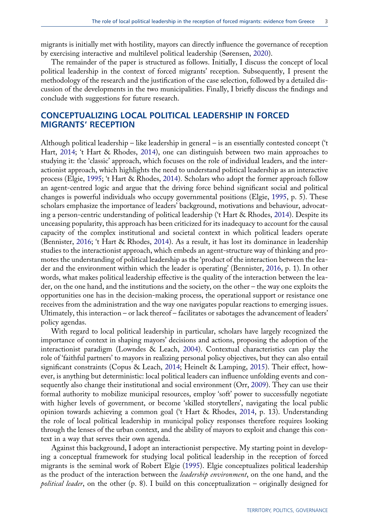<span id="page-3-5"></span>migrants is initially met with hostility, mayors can directly influence the governance of reception by exercising interactive and multilevel political leadership (Sørensen, [2020\)](#page-20-5).

The remainder of the paper is structured as follows. Initially, I discuss the concept of local political leadership in the context of forced migrants' reception. Subsequently, I present the methodology of the research and the justification of the case selection, followed by a detailed discussion of the developments in the two municipalities. Finally, I briefly discuss the findings and conclude with suggestions for future research.

# CONCEPTUALIZING LOCAL POLITICAL LEADERSHIP IN FORCED MIGRANTS' RECEPTION

<span id="page-3-6"></span>Although political leadership – like leadership in general – is an essentially contested concept ('t Hart, [2014](#page-20-6); 't Hart & Rhodes, [2014](#page-20-7)), one can distinguish between two main approaches to studying it: the 'classic' approach, which focuses on the role of individual leaders, and the interactionist approach, which highlights the need to understand political leadership as an interactive process (Elgie, [1995](#page-18-4); 't Hart & Rhodes, [2014](#page-20-7)). Scholars who adopt the former approach follow an agent-centred logic and argue that the driving force behind significant social and political changes is powerful individuals who occupy governmental positions (Elgie, [1995](#page-18-4), p. 5). These scholars emphasize the importance of leaders' background, motivations and behaviour, advocating a person-centric understanding of political leadership ('t Hart & Rhodes, [2014\)](#page-20-7). Despite its unceasing popularity, this approach has been criticized for its inadequacy to account for the causal capacity of the complex institutional and societal context in which political leaders operate (Bennister, [2016](#page-18-5); 't Hart & Rhodes, [2014\)](#page-20-7). As a result, it has lost its dominance in leadership studies to the interactionist approach, which embeds an agent-structure way of thinking and promotes the understanding of political leadership as the 'product of the interaction between the leader and the environment within which the leader is operating' (Bennister, [2016,](#page-18-5) p. 1). In other words, what makes political leadership effective is the quality of the interaction between the leader, on the one hand, and the institutions and the society, on the other – the way one exploits the opportunities one has in the decision-making process, the operational support or resistance one receives from the administration and the way one navigates popular reactions to emerging issues. Ultimately, this interaction – or lack thereof – facilitates or sabotages the advancement of leaders' policy agendas.

<span id="page-3-4"></span><span id="page-3-3"></span><span id="page-3-1"></span><span id="page-3-0"></span>With regard to local political leadership in particular, scholars have largely recognized the importance of context in shaping mayors' decisions and actions, proposing the adoption of the interactionist paradigm (Lowndes & Leach, [2004\)](#page-19-6). Contextual characteristics can play the role of 'faithful partners' to mayors in realizing personal policy objectives, but they can also entail significant constraints (Copus & Leach, [2014;](#page-18-6) Heinelt & Lamping, [2015\)](#page-19-7). Their effect, however, is anything but deterministic: local political leaders can influence unfolding events and consequently also change their institutional and social environment (Orr, [2009\)](#page-20-8). They can use their formal authority to mobilize municipal resources, employ 'soft' power to successfully negotiate with higher levels of government, or become 'skilled storytellers', navigating the local public opinion towards achieving a common goal ('t Hart & Rhodes, [2014](#page-20-7), p. 13). Understanding the role of local political leadership in municipal policy responses therefore requires looking through the lenses of the urban context, and the ability of mayors to exploit and change this context in a way that serves their own agenda.

<span id="page-3-7"></span><span id="page-3-2"></span>Against this background, I adopt an interactionist perspective. My starting point in developing a conceptual framework for studying local political leadership in the reception of forced migrants is the seminal work of Robert Elgie [\(1995](#page-18-4)). Elgie conceptualizes political leadership as the product of the interaction between the leadership environment, on the one hand, and the *political leader*, on the other  $(p, 8)$ . I build on this conceptualization – originally designed for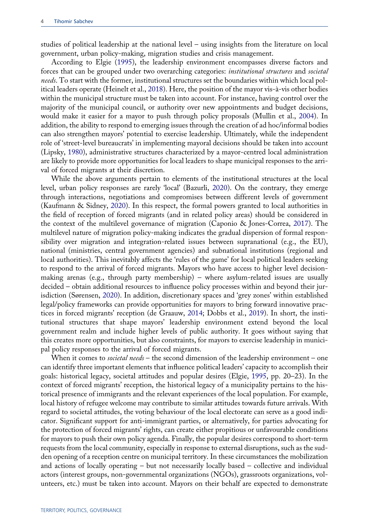studies of political leadership at the national level – using insights from the literature on local government, urban policy-making, migration studies and crisis management.

<span id="page-4-6"></span><span id="page-4-3"></span>According to Elgie ([1995\)](#page-18-4), the leadership environment encompasses diverse factors and forces that can be grouped under two overarching categories: institutional structures and societal needs. To start with the former, institutional structures set the boundaries within which local political leaders operate (Heinelt et al., [2018\)](#page-19-8). Here, the position of the mayor vis-à-vis other bodies within the municipal structure must be taken into account. For instance, having control over the majority of the municipal council, or authority over new appointments and budget decisions, would make it easier for a mayor to push through policy proposals (Mullin et al., [2004\)](#page-19-9). In addition, the ability to respond to emerging issues through the creation of ad hoc/informal bodies can also strengthen mayors' potential to exercise leadership. Ultimately, while the independent role of 'street-level bureaucrats' in implementing mayoral decisions should be taken into account (Lipsky, [1980\)](#page-19-10), administrative structures characterized by a mayor-centred local administration are likely to provide more opportunities for local leaders to shape municipal responses to the arrival of forced migrants at their discretion.

<span id="page-4-5"></span><span id="page-4-4"></span><span id="page-4-1"></span><span id="page-4-0"></span>While the above arguments pertain to elements of the institutional structures at the local level, urban policy responses are rarely 'local' (Bazurli, [2020](#page-18-7)). On the contrary, they emerge through interactions, negotiations and compromises between different levels of government (Kaufmann & Sidney, [2020](#page-19-11)). In this respect, the formal powers granted to local authorities in the field of reception of forced migrants (and in related policy areas) should be considered in the context of the multilevel governance of migration (Caponio & Jones-Correa, [2017](#page-18-8)). The multilevel nature of migration policy-making indicates the gradual dispersion of formal responsibility over migration and integration-related issues between supranational (e.g., the EU), national (ministries, central government agencies) and subnational institutions (regional and local authorities). This inevitably affects the 'rules of the game' for local political leaders seeking to respond to the arrival of forced migrants. Mayors who have access to higher level decisionmaking arenas (e.g., through party membership) – where asylum-related issues are usually decided – obtain additional resources to influence policy processes within and beyond their jurisdiction (Sørensen, [2020](#page-20-5)). In addition, discretionary spaces and 'grey zones' within established legal/policy frameworks can provide opportunities for mayors to bring forward innovative practices in forced migrants' reception (de Graauw, [2014;](#page-18-9) Dobbs et al., [2019\)](#page-18-10). In short, the institutional structures that shape mayors' leadership environment extend beyond the local government realm and include higher levels of public authority. It goes without saying that this creates more opportunities, but also constraints, for mayors to exercise leadership in municipal policy responses to the arrival of forced migrants.

<span id="page-4-2"></span>When it comes to *societal needs* – the second dimension of the leadership environment – one can identify three important elements that influence political leaders' capacity to accomplish their goals: historical legacy, societal attitudes and popular desires (Elgie, [1995](#page-18-4), pp. 20–23). In the context of forced migrants' reception, the historical legacy of a municipality pertains to the historical presence of immigrants and the relevant experiences of the local population. For example, local history of refugee welcome may contribute to similar attitudes towards future arrivals. With regard to societal attitudes, the voting behaviour of the local electorate can serve as a good indicator. Significant support for anti-immigrant parties, or alternatively, for parties advocating for the protection of forced migrants' rights, can create either propitious or unfavourable conditions for mayors to push their own policy agenda. Finally, the popular desires correspond to short-term requests from the local community, especially in response to external disruptions, such as the sudden opening of a reception centre on municipal territory. In these circumstances the mobilization and actions of locally operating – but not necessarily locally based – collective and individual actors (interest groups, non-governmental organizations (NGOs), grassroots organizations, volunteers, etc.) must be taken into account. Mayors on their behalf are expected to demonstrate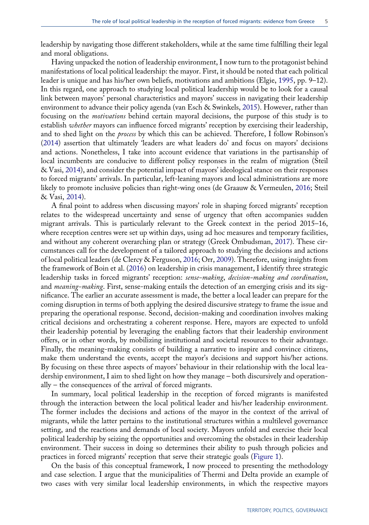leadership by navigating those different stakeholders, while at the same time fulfilling their legal and moral obligations.

<span id="page-5-5"></span>Having unpacked the notion of leadership environment, I now turn to the protagonist behind manifestations of local political leadership: the mayor. First, it should be noted that each political leader is unique and has his/her own beliefs, motivations and ambitions (Elgie, [1995](#page-18-4), pp. 9–12). In this regard, one approach to studying local political leadership would be to look for a causal link between mayors' personal characteristics and mayors' success in navigating their leadership environment to advance their policy agenda (van Esch & Swinkels, [2015](#page-21-0)). However, rather than focusing on the motivations behind certain mayoral decisions, the purpose of this study is to establish whether mayors can influence forced migrants' reception by exercising their leadership, and to shed light on the process by which this can be achieved. Therefore, I follow Robinson's ([2014\)](#page-20-9) assertion that ultimately 'leaders are what leaders do' and focus on mayors' decisions and actions. Nonetheless, I take into account evidence that variations in the partisanship of local incumbents are conducive to different policy responses in the realm of migration (Steil & Vasi, [2014\)](#page-20-10), and consider the potential impact of mayors' ideological stance on their responses to forced migrants' arrivals. In particular, left-leaning mayors and local administrations are more likely to promote inclusive policies than right-wing ones (de Graauw & Vermeulen, [2016](#page-18-11); Steil & Vasi, [2014\)](#page-20-10).

<span id="page-5-4"></span><span id="page-5-3"></span><span id="page-5-2"></span><span id="page-5-1"></span><span id="page-5-0"></span>A final point to address when discussing mayors' role in shaping forced migrants' reception relates to the widespread uncertainty and sense of urgency that often accompanies sudden migrant arrivals. This is particularly relevant to the Greek context in the period 2015–16, where reception centres were set up within days, using ad hoc measures and temporary facilities, and without any coherent overarching plan or strategy (Greek Ombudsman, [2017\)](#page-19-4). These circumstances call for the development of a tailored approach to studying the decisions and actions of local political leaders (de Clercy & Ferguson, [2016](#page-18-12); Orr, [2009](#page-20-8)). Therefore, using insights from the framework of Boin et al. [\(2016](#page-18-13)) on leadership in crisis management, I identify three strategic leadership tasks in forced migrants' reception: sense-making, decision-making and coordination, and meaning-making. First, sense-making entails the detection of an emerging crisis and its significance. The earlier an accurate assessment is made, the better a local leader can prepare for the coming disruption in terms of both applying the desired discursive strategy to frame the issue and preparing the operational response. Second, decision-making and coordination involves making critical decisions and orchestrating a coherent response. Here, mayors are expected to unfold their leadership potential by leveraging the enabling factors that their leadership environment offers, or in other words, by mobilizing institutional and societal resources to their advantage. Finally, the meaning-making consists of building a narrative to inspire and convince citizens, make them understand the events, accept the mayor's decisions and support his/her actions. By focusing on these three aspects of mayors' behaviour in their relationship with the local leadership environment, I aim to shed light on how they manage – both discursively and operationally – the consequences of the arrival of forced migrants.

In summary, local political leadership in the reception of forced migrants is manifested through the interaction between the local political leader and his/her leadership environment. The former includes the decisions and actions of the mayor in the context of the arrival of migrants, while the latter pertains to the institutional structures within a multilevel governance setting, and the reactions and demands of local society. Mayors unfold and exercise their local political leadership by seizing the opportunities and overcoming the obstacles in their leadership environment. Their success in doing so determines their ability to push through policies and practices in forced migrants' reception that serve their strategic goals ([Figure 1\)](#page-6-0).

On the basis of this conceptual framework, I now proceed to presenting the methodology and case selection. I argue that the municipalities of Thermi and Delta provide an example of two cases with very similar local leadership environments, in which the respective mayors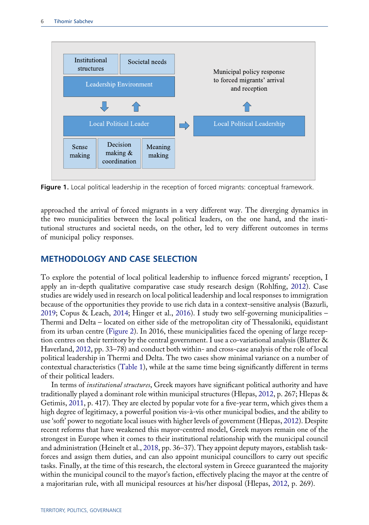<span id="page-6-0"></span>

Figure 1. Local political leadership in the reception of forced migrants: conceptual framework.

approached the arrival of forced migrants in a very different way. The diverging dynamics in the two municipalities between the local political leaders, on the one hand, and the institutional structures and societal needs, on the other, led to very different outcomes in terms of municipal policy responses.

# METHODOLOGY AND CASE SELECTION

<span id="page-6-4"></span>To explore the potential of local political leadership to influence forced migrants' reception, I apply an in-depth qualitative comparative case study research design (Rohlfing, [2012](#page-20-11)). Case studies are widely used in research on local political leadership and local responses to immigration because of the opportunities they provide to use rich data in a context-sensitive analysis (Bazurli, [2019;](#page-18-1) Copus & Leach, [2014](#page-18-6); Hinger et al., [2016\)](#page-19-0). I study two self-governing municipalities – Thermi and Delta – located on either side of the metropolitan city of Thessaloniki, equidistant from its urban centre [\(Figure 2\)](#page-7-0). In 2016, these municipalities faced the opening of large reception centres on their territory by the central government. I use a co-variational analysis (Blatter & Haverland, [2012](#page-18-14), pp. 33–78) and conduct both within- and cross-case analysis of the role of local political leadership in Thermi and Delta. The two cases show minimal variance on a number of contextual characteristics ([Table 1](#page-8-0)), while at the same time being significantly different in terms of their political leaders.

<span id="page-6-3"></span><span id="page-6-2"></span><span id="page-6-1"></span>In terms of *institutional structures*, Greek mayors have significant political authority and have traditionally played a dominant role within municipal structures (Hlepas, [2012,](#page-19-12) p. 267; Hlepas & Getimis, [2011](#page-19-13), p. 417). They are elected by popular vote for a five-year term, which gives them a high degree of legitimacy, a powerful position vis-à-vis other municipal bodies, and the ability to use 'soft' power to negotiate local issues with higher levels of government (Hlepas, [2012\)](#page-19-12). Despite recent reforms that have weakened this mayor-centred model, Greek mayors remain one of the strongest in Europe when it comes to their institutional relationship with the municipal council and administration (Heinelt et al., [2018,](#page-19-8) pp. 36–37). They appoint deputy mayors, establish taskforces and assign them duties, and can also appoint municipal councillors to carry out specific tasks. Finally, at the time of this research, the electoral system in Greece guaranteed the majority within the municipal council to the mayor's faction, effectively placing the mayor at the centre of a majoritarian rule, with all municipal resources at his/her disposal (Hlepas, [2012](#page-19-12), p. 269).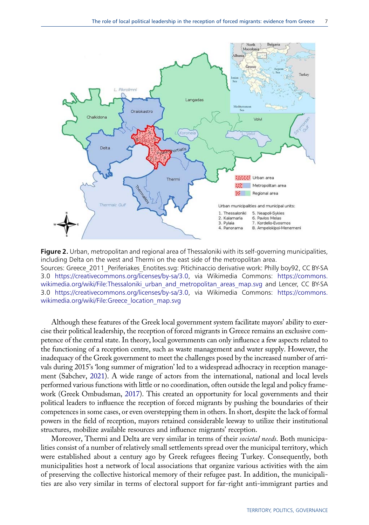<span id="page-7-0"></span>

Figure 2. Urban, metropolitan and regional area of Thessaloniki with its self-governing municipalities, including Delta on the west and Thermi on the east side of the metropolitan area. Sources: Greece\_2011\_Periferiakes\_Enotites.svg: Pitichinaccio derivative work: Philly boy92, CC BY-SA 3.0 [https://creativecommons.org/licenses/by-sa/3.0,](https://creativecommons.org/licenses/by-sa/3.0) via Wikimedia Commons: [https://commons.](https://commons.wikimedia.org/wiki/File:Thessaloniki_urban_and_metropolitan_areas_map.svg) wikimedia.org/wiki/File:Thessaloniki urban and metropolitan areas map.svg and Lencer, CC BY-SA 3.0 [https://creativecommons.org/licenses/by-sa/3.0,](https://creativecommons.org/licenses/by-sa/3.0) via Wikimedia Commons: [https://commons.](https://commons.wikimedia.org/wiki/File:Greece_location_map.svg) [wikimedia.org/wiki/File:Greece\\_location\\_map.svg](https://commons.wikimedia.org/wiki/File:Greece_location_map.svg)

Although these features of the Greek local government system facilitate mayors' ability to exercise their political leadership, the reception of forced migrants in Greece remains an exclusive competence of the central state. In theory, local governments can only influence a few aspects related to the functioning of a reception centre, such as waste management and water supply. However, the inadequacy of the Greek government to meet the challenges posed by the increased number of arrivals during 2015's 'long summer of migration' led to a widespread adhocracy in reception management (Sabchev, [2021\)](#page-20-2). A wide range of actors from the international, national and local levels performed various functions with little or no coordination, often outside the legal and policy framework (Greek Ombudsman, [2017\)](#page-19-4). This created an opportunity for local governments and their political leaders to influence the reception of forced migrants by pushing the boundaries of their competences in some cases, or even overstepping them in others. In short, despite the lack of formal powers in the field of reception, mayors retained considerable leeway to utilize their institutional structures, mobilize available resources and influence migrants' reception.

Moreover, Thermi and Delta are very similar in terms of their societal needs. Both municipalities consist of a number of relatively small settlements spread over the municipal territory, which were established about a century ago by Greek refugees fleeing Turkey. Consequently, both municipalities host a network of local associations that organize various activities with the aim of preserving the collective historical memory of their refugee past. In addition, the municipalities are also very similar in terms of electoral support for far-right anti-immigrant parties and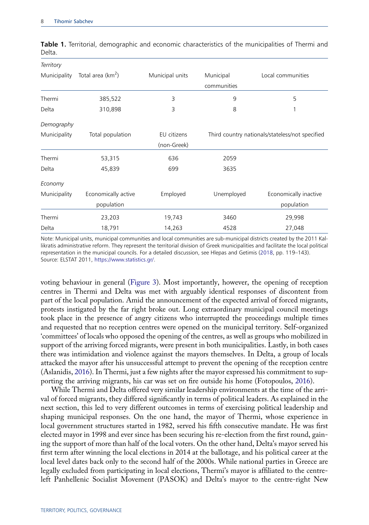| Territory    |                     |                 |             |                                                 |  |
|--------------|---------------------|-----------------|-------------|-------------------------------------------------|--|
| Municipality | Total area $(km^2)$ | Municipal units | Municipal   | Local communities                               |  |
|              |                     |                 | communities |                                                 |  |
| Thermi       | 385,522             | 3               | 9           | 5                                               |  |
| Delta        | 310,898             | 3               | 8           | 1                                               |  |
| Demography   |                     |                 |             |                                                 |  |
| Municipality | Total population    | EU citizens     |             | Third country nationals/stateless/not specified |  |
|              |                     | (non-Greek)     |             |                                                 |  |
| Thermi       | 53,315              | 636             | 2059        |                                                 |  |
| Delta        | 45,839              | 699             | 3635        |                                                 |  |
| Economy      |                     |                 |             |                                                 |  |
| Municipality | Economically active | Employed        | Unemployed  | Economically inactive                           |  |
|              | population          |                 |             | population                                      |  |
| Thermi       | 23,203              | 19,743          | 3460        | 29,998                                          |  |
| Delta        | 18,791              | 14,263          | 4528        | 27,048                                          |  |

<span id="page-8-0"></span>Table 1. Territorial, demographic and economic characteristics of the municipalities of Thermi and Delta.

<span id="page-8-3"></span>Note: Municipal units, municipal communities and local communities are sub-municipal districts created by the 2011 Kallikratis administrative reform. They represent the territorial division of Greek municipalities and facilitate the local political representation in the municipal councils. For a detailed discussion, see Hlepas and Getimis [\(2018,](#page-19-14) pp. 119–143). Source: ELSTAT 2011, [https://www.statistics.gr/.](https://www.statistics.gr/)

voting behaviour in general [\(Figure 3](#page-9-0)). Most importantly, however, the opening of reception centres in Thermi and Delta was met with arguably identical responses of discontent from part of the local population. Amid the announcement of the expected arrival of forced migrants, protests instigated by the far right broke out. Long extraordinary municipal council meetings took place in the presence of angry citizens who interrupted the proceedings multiple times and requested that no reception centres were opened on the municipal territory. Self-organized 'committees' of locals who opposed the opening of the centres, as well as groups who mobilized in support of the arriving forced migrants, were present in both municipalities. Lastly, in both cases there was intimidation and violence against the mayors themselves. In Delta, a group of locals attacked the mayor after his unsuccessful attempt to prevent the opening of the reception centre (Aslanidis, [2016\)](#page-18-15). In Thermi, just a few nights after the mayor expressed his commitment to supporting the arriving migrants, his car was set on fire outside his home (Fotopoulos, [2016\)](#page-18-16).

<span id="page-8-2"></span><span id="page-8-1"></span>While Thermi and Delta offered very similar leadership environments at the time of the arrival of forced migrants, they differed significantly in terms of political leaders. As explained in the next section, this led to very different outcomes in terms of exercising political leadership and shaping municipal responses. On the one hand, the mayor of Thermi, whose experience in local government structures started in 1982, served his fifth consecutive mandate. He was first elected mayor in 1998 and ever since has been securing his re-election from the first round, gaining the support of more than half of the local voters. On the other hand, Delta's mayor served his first term after winning the local elections in 2014 at the ballotage, and his political career at the local level dates back only to the second half of the 2000s. While national parties in Greece are legally excluded from participating in local elections, Thermi's mayor is affiliated to the centreleft Panhellenic Socialist Movement (PASOK) and Delta's mayor to the centre-right New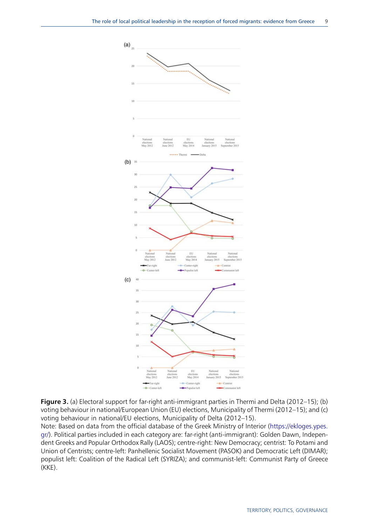<span id="page-9-0"></span>

Figure 3. (a) Electoral support for far-right anti-immigrant parties in Thermi and Delta (2012–15); (b) voting behaviour in national/European Union (EU) elections, Municipality of Thermi (2012–15); and (c) voting behaviour in national/EU elections, Municipality of Delta (2012–15).

Note: Based on data from the official database of the Greek Ministry of Interior [\(https://ekloges.ypes.](https://ekloges.ypes.gr/) [gr/](https://ekloges.ypes.gr/)). Political parties included in each category are: far-right (anti-immigrant): Golden Dawn, Independent Greeks and Popular Orthodox Rally (LAOS); centre-right: New Democracy; centrist: To Potami and Union of Centrists; centre-left: Panhellenic Socialist Movement (PASOK) and Democratic Left (DIMAR); populist left: Coalition of the Radical Left (SYRIZA); and communist-left: Communist Party of Greece (KKE).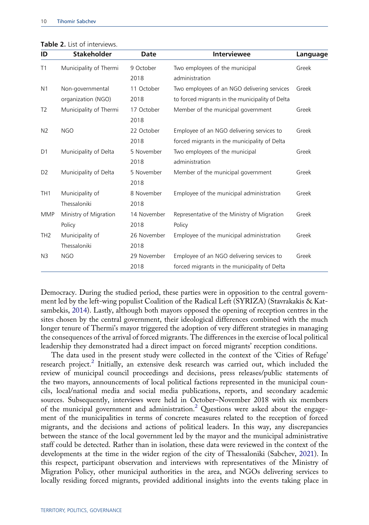| ID              | <b>Stakeholder</b>     | Date        | <b>Interviewee</b>                              | Language |
|-----------------|------------------------|-------------|-------------------------------------------------|----------|
| T1              | Municipality of Thermi | 9 October   | Two employees of the municipal                  | Greek    |
|                 |                        | 2018        | administration                                  |          |
| N <sub>1</sub>  | Non-governmental       | 11 October  | Two employees of an NGO delivering services     | Greek    |
|                 | organization (NGO)     | 2018        | to forced migrants in the municipality of Delta |          |
| T <sub>2</sub>  | Municipality of Thermi | 17 October  | Member of the municipal government              | Greek    |
|                 |                        | 2018        |                                                 |          |
| N <sub>2</sub>  | <b>NGO</b>             | 22 October  | Employee of an NGO delivering services to       | Greek    |
|                 |                        | 2018        | forced migrants in the municipality of Delta    |          |
| D <sub>1</sub>  | Municipality of Delta  | 5 November  | Two employees of the municipal                  | Greek    |
|                 |                        | 2018        | administration                                  |          |
| D <sub>2</sub>  | Municipality of Delta  | 5 November  | Member of the municipal government              | Greek    |
|                 |                        | 2018        |                                                 |          |
| TH <sub>1</sub> | Municipality of        | 8 November  | Employee of the municipal administration        | Greek    |
|                 | Thessaloniki           | 2018        |                                                 |          |
| <b>MMP</b>      | Ministry of Migration  | 14 November | Representative of the Ministry of Migration     | Greek    |
|                 | Policy                 | 2018        | Policy                                          |          |
| TH <sub>2</sub> | Municipality of        | 26 November | Employee of the municipal administration        | Greek    |
|                 | Thessaloniki           | 2018        |                                                 |          |
| N <sub>3</sub>  | <b>NGO</b>             | 29 November | Employee of an NGO delivering services to       | Greek    |
|                 |                        | 2018        | forced migrants in the municipality of Delta    |          |

<span id="page-10-0"></span>Table 2. List of interviews.

<span id="page-10-1"></span>Democracy. During the studied period, these parties were in opposition to the central government led by the left-wing populist Coalition of the Radical Left (SYRIZA) (Stavrakakis & Katsambekis, [2014](#page-20-12)). Lastly, although both mayors opposed the opening of reception centres in the sites chosen by the central government, their ideological differences combined with the much longer tenure of Thermi's mayor triggered the adoption of very different strategies in managing the consequences of the arrival of forced migrants. The differences in the exercise of local political leadership they demonstrated had a direct impact on forced migrants' reception conditions.

The data used in the present study were collected in the context of the 'Cities of Refuge' research project.[2](#page-17-2) Initially, an extensive desk research was carried out, which included the review of municipal council proceedings and decisions, press releases/public statements of the two mayors, announcements of local political factions represented in the municipal councils, local/national media and social media publications, reports, and secondary academic sources. Subsequently, interviews were held in October–November 2018 with six members of the municipal government and administration.<sup>[2](#page-17-2)</sup> Questions were asked about the engagement of the municipalities in terms of concrete measures related to the reception of forced migrants, and the decisions and actions of political leaders. In this way, any discrepancies between the stance of the local government led by the mayor and the municipal administrative staff could be detected. Rather than in isolation, these data were reviewed in the context of the developments at the time in the wider region of the city of Thessaloniki (Sabchev, [2021](#page-20-2)). In this respect, participant observation and interviews with representatives of the Ministry of Migration Policy, other municipal authorities in the area, and NGOs delivering services to locally residing forced migrants, provided additional insights into the events taking place in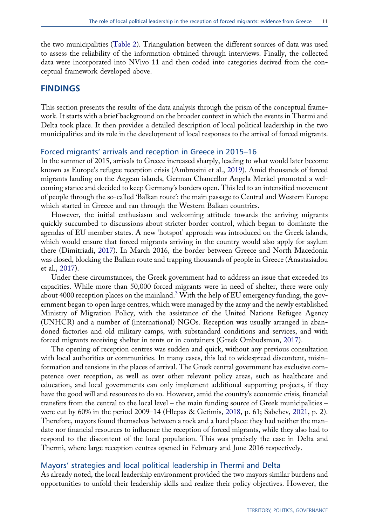the two municipalities [\(Table 2](#page-10-0)). Triangulation between the different sources of data was used to assess the reliability of the information obtained through interviews. Finally, the collected data were incorporated into NVivo 11 and then coded into categories derived from the conceptual framework developed above.

### FINDINGS

This section presents the results of the data analysis through the prism of the conceptual framework. It starts with a brief background on the broader context in which the events in Thermi and Delta took place. It then provides a detailed description of local political leadership in the two municipalities and its role in the development of local responses to the arrival of forced migrants.

#### Forced migrants' arrivals and reception in Greece in 2015–16

In the summer of 2015, arrivals to Greece increased sharply, leading to what would later become known as Europe's refugee reception crisis (Ambrosini et al., [2019\)](#page-18-0). Amid thousands of forced migrants landing on the Aegean islands, German Chancellor Angela Merkel promoted a welcoming stance and decided to keep Germany's borders open. This led to an intensified movement of people through the so-called 'Balkan route': the main passage to Central and Western Europe which started in Greece and ran through the Western Balkan countries.

<span id="page-11-1"></span>However, the initial enthusiasm and welcoming attitude towards the arriving migrants quickly succumbed to discussions about stricter border control, which began to dominate the agendas of EU member states. A new 'hotspot' approach was introduced on the Greek islands, which would ensure that forced migrants arriving in the country would also apply for asylum there (Dimitriadi, [2017](#page-18-17)). In March 2016, the border between Greece and North Macedonia was closed, blocking the Balkan route and trapping thousands of people in Greece (Anastasiadou et al., [2017\)](#page-18-18).

<span id="page-11-0"></span>Under these circumstances, the Greek government had to address an issue that exceeded its capacities. While more than 50,000 forced migrants were in need of shelter, there were only about 4000 reception places on the mainland.<sup>[3](#page-17-3)</sup> With the help of EU emergency funding, the government began to open large centres, which were managed by the army and the newly established Ministry of Migration Policy, with the assistance of the United Nations Refugee Agency (UNHCR) and a number of (international) NGOs. Reception was usually arranged in abandoned factories and old military camps, with substandard conditions and services, and with forced migrants receiving shelter in tents or in containers (Greek Ombudsman, [2017](#page-19-4)).

The opening of reception centres was sudden and quick, without any previous consultation with local authorities or communities. In many cases, this led to widespread discontent, misinformation and tensions in the places of arrival. The Greek central government has exclusive competence over reception, as well as over other relevant policy areas, such as healthcare and education, and local governments can only implement additional supporting projects, if they have the good will and resources to do so. However, amid the country's economic crisis, financial transfers from the central to the local level – the main funding source of Greek municipalities – were cut by 60% in the period 2009–14 (Hlepas & Getimis, [2018,](#page-19-14) p. 61; Sabchev, [2021,](#page-20-2) p. 2). Therefore, mayors found themselves between a rock and a hard place: they had neither the mandate nor financial resources to influence the reception of forced migrants, while they also had to respond to the discontent of the local population. This was precisely the case in Delta and Thermi, where large reception centres opened in February and June 2016 respectively.

#### Mayors' strategies and local political leadership in Thermi and Delta

As already noted, the local leadership environment provided the two mayors similar burdens and opportunities to unfold their leadership skills and realize their policy objectives. However, the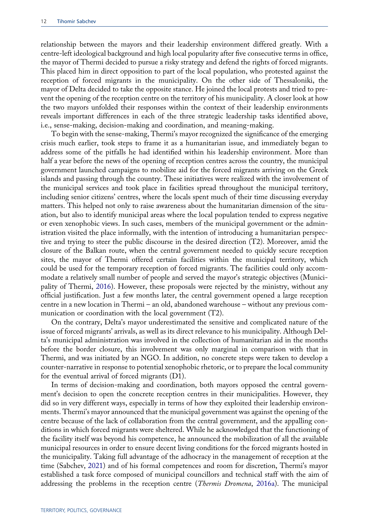relationship between the mayors and their leadership environment differed greatly. With a centre-left ideological background and high local popularity after five consecutive terms in office, the mayor of Thermi decided to pursue a risky strategy and defend the rights of forced migrants. This placed him in direct opposition to part of the local population, who protested against the reception of forced migrants in the municipality. On the other side of Thessaloniki, the mayor of Delta decided to take the opposite stance. He joined the local protests and tried to prevent the opening of the reception centre on the territory of his municipality. A closer look at how the two mayors unfolded their responses within the context of their leadership environments reveals important differences in each of the three strategic leadership tasks identified above, i.e., sense-making, decision-making and coordination, and meaning-making.

To begin with the sense-making, Thermi's mayor recognized the significance of the emerging crisis much earlier, took steps to frame it as a humanitarian issue, and immediately began to address some of the pitfalls he had identified within his leadership environment. More than half a year before the news of the opening of reception centres across the country, the municipal government launched campaigns to mobilize aid for the forced migrants arriving on the Greek islands and passing through the country. These initiatives were realized with the involvement of the municipal services and took place in facilities spread throughout the municipal territory, including senior citizens' centres, where the locals spent much of their time discussing everyday matters. This helped not only to raise awareness about the humanitarian dimension of the situation, but also to identify municipal areas where the local population tended to express negative or even xenophobic views. In such cases, members of the municipal government or the administration visited the place informally, with the intention of introducing a humanitarian perspective and trying to steer the public discourse in the desired direction (T2). Moreover, amid the closure of the Balkan route, when the central government needed to quickly secure reception sites, the mayor of Thermi offered certain facilities within the municipal territory, which could be used for the temporary reception of forced migrants. The facilities could only accommodate a relatively small number of people and served the mayor's strategic objectives (Municipality of Thermi, [2016](#page-20-13)). However, these proposals were rejected by the ministry, without any official justification. Just a few months later, the central government opened a large reception centre in a new location in Thermi – an old, abandoned warehouse – without any previous communication or coordination with the local government (T2).

<span id="page-12-0"></span>On the contrary, Delta's mayor underestimated the sensitive and complicated nature of the issue of forced migrants' arrivals, as well as its direct relevance to his municipality. Although Delta's municipal administration was involved in the collection of humanitarian aid in the months before the border closure, this involvement was only marginal in comparison with that in Thermi, and was initiated by an NGO. In addition, no concrete steps were taken to develop a counter-narrative in response to potential xenophobic rhetoric, or to prepare the local community for the eventual arrival of forced migrants (D1).

<span id="page-12-1"></span>In terms of decision-making and coordination, both mayors opposed the central government's decision to open the concrete reception centres in their municipalities. However, they did so in very different ways, especially in terms of how they exploited their leadership environments. Thermi's mayor announced that the municipal government was against the opening of the centre because of the lack of collaboration from the central government, and the appalling conditions in which forced migrants were sheltered. While he acknowledged that the functioning of the facility itself was beyond his competence, he announced the mobilization of all the available municipal resources in order to ensure decent living conditions for the forced migrants hosted in the municipality. Taking full advantage of the adhocracy in the management of reception at the time (Sabchev, [2021\)](#page-20-2) and of his formal competences and room for discretion, Thermi's mayor established a task force composed of municipal councillors and technical staff with the aim of addressing the problems in the reception centre (*Thermis Dromena*, [2016a](#page-20-14)). The municipal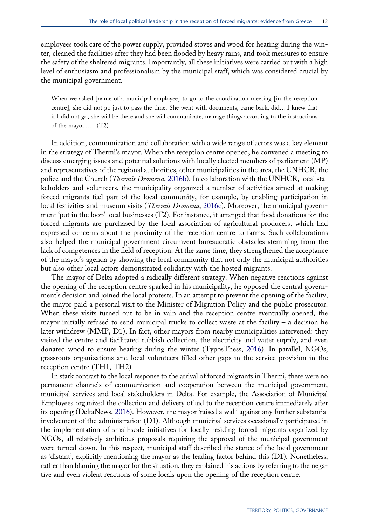employees took care of the power supply, provided stoves and wood for heating during the winter, cleaned the facilities after they had been flooded by heavy rains, and took measures to ensure the safety of the sheltered migrants. Importantly, all these initiatives were carried out with a high level of enthusiasm and professionalism by the municipal staff, which was considered crucial by the municipal government.

When we asked [name of a municipal employee] to go to the coordination meeting [in the reception centre], she did not go just to pass the time. She went with documents, came back, did… I knew that if I did not go, she will be there and she will communicate, manage things according to the instructions of the mayor … . (T2)

<span id="page-13-2"></span><span id="page-13-1"></span>In addition, communication and collaboration with a wide range of actors was a key element in the strategy of Thermi's mayor. When the reception centre opened, he convened a meeting to discuss emerging issues and potential solutions with locally elected members of parliament (MP) and representatives of the regional authorities, other municipalities in the area, the UNHCR, the police and the Church (*Thermis Dromena*, [2016b](#page-20-15)). In collaboration with the UNHCR, local stakeholders and volunteers, the municipality organized a number of activities aimed at making forced migrants feel part of the local community, for example, by enabling participation in local festivities and museum visits (*Thermis Dromena*, [2016c\)](#page-20-16). Moreover, the municipal government 'put in the loop' local businesses (T2). For instance, it arranged that food donations for the forced migrants are purchased by the local association of agricultural producers, which had expressed concerns about the proximity of the reception centre to farms. Such collaborations also helped the municipal government circumvent bureaucratic obstacles stemming from the lack of competences in the field of reception. At the same time, they strengthened the acceptance of the mayor's agenda by showing the local community that not only the municipal authorities but also other local actors demonstrated solidarity with the hosted migrants.

The mayor of Delta adopted a radically different strategy. When negative reactions against the opening of the reception centre sparked in his municipality, he opposed the central government's decision and joined the local protests. In an attempt to prevent the opening of the facility, the mayor paid a personal visit to the Minister of Migration Policy and the public prosecutor. When these visits turned out to be in vain and the reception centre eventually opened, the mayor initially refused to send municipal trucks to collect waste at the facility – a decision he later withdrew (MMP, D1). In fact, other mayors from nearby municipalities intervened: they visited the centre and facilitated rubbish collection, the electricity and water supply, and even donated wood to ensure heating during the winter (TyposThess, [2016\)](#page-21-1). In parallel, NGOs, grassroots organizations and local volunteers filled other gaps in the service provision in the reception centre (TH1, TH2).

<span id="page-13-3"></span><span id="page-13-0"></span>In stark contrast to the local response to the arrival of forced migrants in Thermi, there were no permanent channels of communication and cooperation between the municipal government, municipal services and local stakeholders in Delta. For example, the Association of Municipal Employees organized the collection and delivery of aid to the reception centre immediately after its opening (DeltaNews, [2016](#page-18-19)). However, the mayor 'raised a wall' against any further substantial involvement of the administration (D1). Although municipal services occasionally participated in the implementation of small-scale initiatives for locally residing forced migrants organized by NGOs, all relatively ambitious proposals requiring the approval of the municipal government were turned down. In this respect, municipal staff described the stance of the local government as 'distant', explicitly mentioning the mayor as the leading factor behind this (D1). Nonetheless, rather than blaming the mayor for the situation, they explained his actions by referring to the negative and even violent reactions of some locals upon the opening of the reception centre.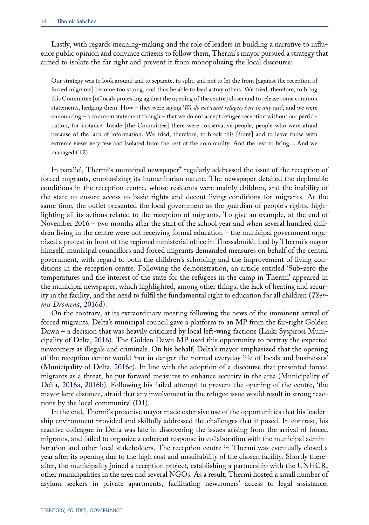Lastly, with regards meaning-making and the role of leaders in building a narrative to influence public opinion and convince citizens to follow them, Thermi's mayor pursued a strategy that aimed to isolate the far right and prevent it from monopolizing the local discourse:

Our strategy was to look around and to separate, to split, and not to let the front [against the reception of forced migrants] become too strong, and thus be able to lead astray others. We tried, therefore, to bring this Committee [of locals protesting against the opening of the centre] closer and to release some common statements, hedging them. How – they were saying 'We do not want refugees here in any case', and we were announcing – a common statement though – that we do not accept refugee reception without our participation, for instance. Inside [the Committee] there were conservative people, people who were afraid because of the lack of information. We tried, therefore, to break this [front] and to leave those with extreme views very few and isolated from the rest of the community. And the rest to bring… And we managed.(T2)

In parallel, Thermi's municipal newspaper<sup>[4](#page-17-4)</sup> regularly addressed the issue of the reception of forced migrants, emphasizing its humanitarian nature. The newspaper detailed the deplorable conditions in the reception centre, whose residents were mainly children, and the inability of the state to ensure access to basic rights and decent living conditions for migrants. At the same time, the outlet presented the local government as the guardian of people's rights, highlighting all its actions related to the reception of migrants. To give an example, at the end of November 2016 – two months after the start of the school year and when several hundred children living in the centre were not receiving formal education – the municipal government organized a protest in front of the regional ministerial office in Thessaloniki. Led by Thermi's mayor himself, municipal councillors and forced migrants demanded measures on behalf of the central government, with regard to both the children's schooling and the improvement of living conditions in the reception centre. Following the demonstration, an article entitled 'Sub-zero the temperatures and the interest of the state for the refugees in the camp in Thermi' appeared in the municipal newspaper, which highlighted, among other things, the lack of heating and security in the facility, and the need to fulfil the fundamental right to education for all children (Thermis Dromena, [2016d](#page-21-2)).

<span id="page-14-3"></span><span id="page-14-2"></span><span id="page-14-0"></span>On the contrary, at its extraordinary meeting following the news of the imminent arrival of forced migrants, Delta's municipal council gave a platform to an MP from the far-right Golden Dawn – a decision that was heavily criticized by local left-wing factions (Laiki Syspirosi Municipality of Delta, [2016\)](#page-19-15). The Golden Dawn MP used this opportunity to portray the expected newcomers as illegals and criminals. On his behalf, Delta's mayor emphasized that the opening of the reception centre would 'put in danger the normal everyday life of locals and businesses' (Municipality of Delta, [2016c\)](#page-20-17). In line with the adoption of a discourse that presented forced migrants as a threat, he put forward measures to enhance security in the area (Municipality of Delta, [2016a](#page-19-16), [2016b](#page-20-18)). Following his failed attempt to prevent the opening of the centre, 'the mayor kept distance, afraid that any involvement in the refugee issue would result in strong reactions by the local community' (D1).

<span id="page-14-1"></span>In the end, Thermi's proactive mayor made extensive use of the opportunities that his leadership environment provided and skilfully addressed the challenges that it posed. In contrast, his reactive colleague in Delta was late in discovering the issues arising from the arrival of forced migrants, and failed to organize a coherent response in collaboration with the municipal administration and other local stakeholders. The reception centre in Thermi was eventually closed a year after its opening due to the high cost and unsuitability of the chosen facility. Shortly thereafter, the municipality joined a reception project, establishing a partnership with the UNHCR, other municipalities in the area and several NGOs. As a result, Thermi hosted a small number of asylum seekers in private apartments, facilitating newcomers' access to legal assistance,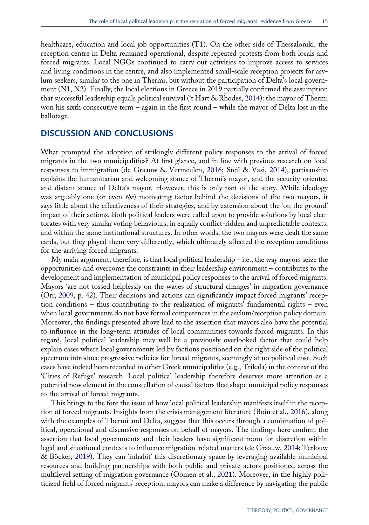healthcare, education and local job opportunities (T1). On the other side of Thessaloniki, the reception centre in Delta remained operational, despite repeated protests from both locals and forced migrants. Local NGOs continued to carry out activities to improve access to services and living conditions in the centre, and also implemented small-scale reception projects for asylum seekers, similar to the one in Thermi, but without the participation of Delta's local government (N1, N2). Finally, the local elections in Greece in 2019 partially confirmed the assumption that successful leadership equals political survival ('t Hart & Rhodes, [2014\)](#page-20-7): the mayor of Thermi won his sixth consecutive term – again in the first round – while the mayor of Delta lost in the ballotage.

# DISCUSSION AND CONCLUSIONS

What prompted the adoption of strikingly different policy responses to the arrival of forced migrants in the two municipalities? At first glance, and in line with previous research on local responses to immigration (de Graauw & Vermeulen, [2016;](#page-18-11) Steil & Vasi, [2014](#page-20-10)), partisanship explains the humanitarian and welcoming stance of Thermi's mayor, and the security-oriented and distant stance of Delta's mayor. However, this is only part of the story. While ideology was arguably one (or even *the*) motivating factor behind the decisions of the two mayors, it says little about the effectiveness of their strategies, and by extension about the 'on the ground' impact of their actions. Both political leaders were called upon to provide solutions by local electorates with very similar voting behaviours, in equally conflict-ridden and unpredictable contexts, and within the same institutional structures. In other words, the two mayors were dealt the same cards, but they played them very differently, which ultimately affected the reception conditions for the arriving forced migrants.

My main argument, therefore, is that local political leadership – i.e., the way mayors seize the opportunities and overcome the constraints in their leadership environment – contributes to the development and implementation of municipal policy responses to the arrival of forced migrants. Mayors 'are not tossed helplessly on the waves of structural changes' in migration governance (Orr, [2009](#page-20-8), p. 42). Their decisions and actions can significantly impact forced migrants' reception conditions – thus contributing to the realization of migrants' fundamental rights – even when local governments do not have formal competences in the asylum/reception policy domain. Moreover, the findings presented above lead to the assertion that mayors also have the potential to influence in the long-term attitudes of local communities towards forced migrants. In this regard, local political leadership may well be a previously overlooked factor that could help explain cases where local governments led by factions positioned on the right side of the political spectrum introduce progressive policies for forced migrants, seemingly at no political cost. Such cases have indeed been recorded in other Greek municipalities (e.g., Trikala) in the context of the 'Cities of Refuge' research. Local political leadership therefore deserves more attention as a potential new element in the constellation of causal factors that shape municipal policy responses to the arrival of forced migrants.

This brings to the fore the issue of how local political leadership manifests itself in the reception of forced migrants. Insights from the crisis management literature (Boin et al., [2016](#page-18-13)), along with the examples of Thermi and Delta, suggest that this occurs through a combination of political, operational and discursive responses on behalf of mayors. The findings here confirm the assertion that local governments and their leaders have significant room for discretion within legal and situational contexts to influence migration-related matters (de Graauw, [2014;](#page-18-9) Terlouw & Böcker, [2019](#page-20-1)). They can 'inhabit' this discretionary space by leveraging available municipal resources and building partnerships with both public and private actors positioned across the multilevel setting of migration governance (Oomen et al., [2021\)](#page-20-4). Moreover, in the highly politicized field of forced migrants' reception, mayors can make a difference by navigating the public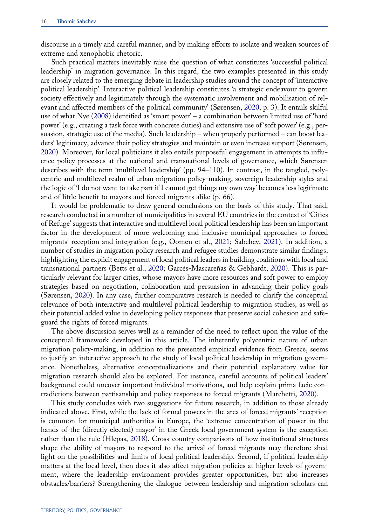discourse in a timely and careful manner, and by making efforts to isolate and weaken sources of extreme and xenophobic rhetoric.

<span id="page-16-1"></span>Such practical matters inevitably raise the question of what constitutes 'successful political leadership' in migration governance. In this regard, the two examples presented in this study are closely related to the emerging debate in leadership studies around the concept of 'interactive political leadership'. Interactive political leadership constitutes 'a strategic endeavour to govern society effectively and legitimately through the systematic involvement and mobilisation of relevant and affected members of the political community' (Sørensen, [2020,](#page-20-5) p. 3). It entails skilful use of what Nye [\(2008](#page-20-19)) identified as 'smart power' – a combination between limited use of 'hard power' (e.g., creating a task force with concrete duties) and extensive use of 'soft power' (e.g., persuasion, strategic use of the media). Such leadership – when properly performed – can boost leaders' legitimacy, advance their policy strategies and maintain or even increase support (Sørensen, [2020\)](#page-20-5). Moreover, for local politicians it also entails purposeful engagement in attempts to influence policy processes at the national and transnational levels of governance, which Sørensen describes with the term 'multilevel leadership' (pp. 94–110). In contrast, in the tangled, polycentric and multilevel realm of urban migration policy-making, sovereign leadership styles and the logic of 'I do not want to take part if I cannot get things my own way' becomes less legitimate and of little benefit to mayors and forced migrants alike (p. 66).

It would be problematic to draw general conclusions on the basis of this study. That said, research conducted in a number of municipalities in several EU countries in the context of 'Cities of Refuge' suggests that interactive and multilevel local political leadership has been an important factor in the development of more welcoming and inclusive municipal approaches to forced migrants' reception and integration (e.g., Oomen et al., [2021](#page-20-4); Sabchev, [2021\)](#page-20-2). In addition, a number of studies in migration policy research and refugee studies demonstrate similar findings, highlighting the explicit engagement of local political leaders in building coalitions with local and transnational partners (Betts et al., [2020](#page-18-2); Garcés-Mascareñas & Gebhardt, [2020\)](#page-19-5). This is particularly relevant for larger cities, whose mayors have more resources and soft power to employ strategies based on negotiation, collaboration and persuasion in advancing their policy goals (Sørensen, [2020](#page-20-5)). In any case, further comparative research is needed to clarify the conceptual relevance of both interactive and multilevel political leadership to migration studies, as well as their potential added value in developing policy responses that preserve social cohesion and safeguard the rights of forced migrants.

The above discussion serves well as a reminder of the need to reflect upon the value of the conceptual framework developed in this article. The inherently polycentric nature of urban migration policy-making, in addition to the presented empirical evidence from Greece, seems to justify an interactive approach to the study of local political leadership in migration governance. Nonetheless, alternative conceptualizations and their potential explanatory value for migration research should also be explored. For instance, careful accounts of political leaders' background could uncover important individual motivations, and help explain prima facie contradictions between partisanship and policy responses to forced migrants (Marchetti, [2020](#page-19-1)).

<span id="page-16-0"></span>This study concludes with two suggestions for future research, in addition to those already indicated above. First, while the lack of formal powers in the area of forced migrants' reception is common for municipal authorities in Europe, the 'extreme concentration of power in the hands of the (directly elected) mayor' in the Greek local government system is the exception rather than the rule (Hlepas, [2018](#page-19-17)). Cross-country comparisons of how institutional structures shape the ability of mayors to respond to the arrival of forced migrants may therefore shed light on the possibilities and limits of local political leadership. Second, if political leadership matters at the local level, then does it also affect migration policies at higher levels of government, where the leadership environment provides greater opportunities, but also increases obstacles/barriers? Strengthening the dialogue between leadership and migration scholars can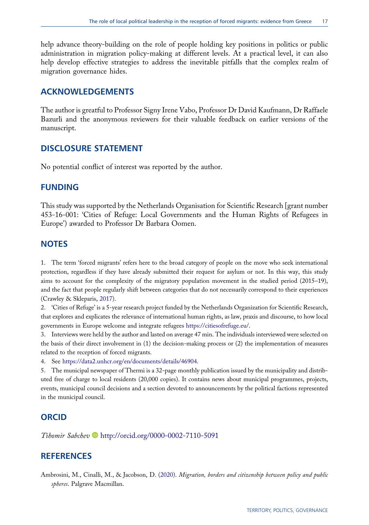help advance theory-building on the role of people holding key positions in politics or public administration in migration policy-making at different levels. At a practical level, it can also help develop effective strategies to address the inevitable pitfalls that the complex realm of migration governance hides.

# ACKNOWLEDGEMENTS

The author is greatful to Professor Signy Irene Vabo, Professor Dr David Kaufmann, Dr Raffaele Bazurli and the anonymous reviewers for their valuable feedback on earlier versions of the manuscript.

# DISCLOSURE STATEMENT

No potential conflict of interest was reported by the author.

# FUNDING

This study was supported by the Netherlands Organisation for Scientific Research [grant number 453-16-001: 'Cities of Refuge: Local Governments and the Human Rights of Refugees in Europe') awarded to Professor Dr Barbara Oomen.

# **NOTES**

<span id="page-17-1"></span>1. The term 'forced migrants' refers here to the broad category of people on the move who seek international protection, regardless if they have already submitted their request for asylum or not. In this way, this study aims to account for the complexity of the migratory population movement in the studied period (2015–19), and the fact that people regularly shift between categories that do not necessarily correspond to their experiences (Crawley & Skleparis, [2017](#page-18-20)).

<span id="page-17-5"></span><span id="page-17-2"></span>2. 'Cities of Refuge' is a 5-year research project funded by the Netherlands Organization for Scientific Research, that explores and explicates the relevance of international human rights, as law, praxis and discourse, to how local governments in Europe welcome and integrate refugees [https://citiesofrefuge.eu/.](https://citiesofrefuge.eu/)

<span id="page-17-3"></span>3. Interviews were held by the author and lasted on average 47 min. The individuals interviewed were selected on the basis of their direct involvement in (1) the decision-making process or (2) the implementation of measures related to the reception of forced migrants.

<span id="page-17-4"></span>4. See <https://data2.unhcr.org/en/documents/details/46904>.

5. The municipal newspaper of Thermi is a 32-page monthly publication issued by the municipality and distributed free of charge to local residents (20,000 copies). It contains news about municipal programmes, projects, events, municipal council decisions and a section devoted to announcements by the political factions represented in the municipal council.

# **ORCID**

Tihomir Sabchev <http://orcid.org/0000-0002-7110-5091>

# **REFERENCES**

<span id="page-17-0"></span>Ambrosini, M., Cinalli, M., & Jacobson, D. [\(2020](#page-1-0)). Migration, borders and citizenship between policy and public spheres. Palgrave Macmillan.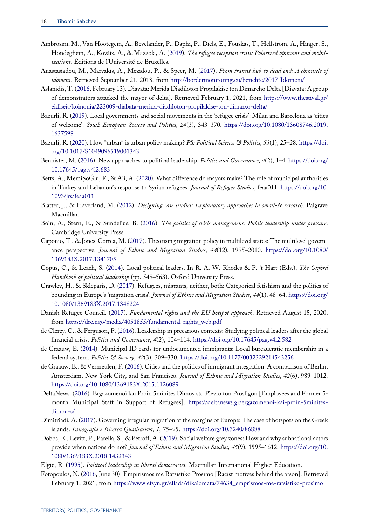- <span id="page-18-0"></span>Ambrosini, M., Van Hootegem, A., Bevelander, P., Daphi, P., Diels, E., Fouskas, T., Hellström, A., Hinger, S., Hondeghem, A., Kováts, A., & Mazzola, A. [\(2019](#page-1-0)). The refugee reception crisis: Polarized opinions and mobilizations. Éditions de l'Université de Bruxelles.
- <span id="page-18-18"></span>Anastasiadou, M., Marvakis, A., Mezidou, P., & Speer, M. [\(2017](#page-11-0)). From transit hub to dead end: A chronicle of idomeni. Retrieved September 21, 2018, from <http://bordermonitoring.eu/berichte/2017-Idomeni/>
- <span id="page-18-15"></span>Aslanidis, T. ([2016,](#page-8-1) February 13). Diavata: Merida Diadiloton Propilakise ton Dimarcho Delta [Diavata: A group of demonstrators attacked the mayor of delta]. Retrieved February 1, 2021, from [https://www.thestival.gr/](https://www.thestival.gr/eidiseis/koinonia/223009-diabata-merida-diadiloton-propilakise-ton-dimarxo-delta/) [eidiseis/koinonia/223009-diabata-merida-diadiloton-propilakise-ton-dimarxo-delta/](https://www.thestival.gr/eidiseis/koinonia/223009-diabata-merida-diadiloton-propilakise-ton-dimarxo-delta/)
- <span id="page-18-1"></span>Bazurli, R. [\(2019](#page-2-0)). Local governments and social movements in the 'refugee crisis': Milan and Barcelona as 'cities of welcome'. South European Society and Politics, 24(3), 343–370. [https://doi.org/10.1080/13608746.2019.](https://doi.org/10.1080/13608746.2019.1637598) [1637598](https://doi.org/10.1080/13608746.2019.1637598)
- <span id="page-18-7"></span>Bazurli, R. [\(2020](#page-4-0)). How "urban" is urban policy making? PS: Political Science & Politics, 53(1), 25–28. [https://doi.](https://doi.org/10.1017/S1049096519001343) [org/10.1017/S1049096519001343](https://doi.org/10.1017/S1049096519001343)
- <span id="page-18-5"></span>Bennister, M. [\(2016](#page-3-0)). New approaches to political leadership. Politics and Governance, 4(2), 1–4. [https://doi.org/](https://doi.org/10.17645/pag.v4i2.683) [10.17645/pag.v4i2.683](https://doi.org/10.17645/pag.v4i2.683)
- <span id="page-18-2"></span>Betts, A., MemiŞoĞlu, F., & Ali, A. ([2020\)](#page-2-1). What difference do mayors make? The role of municipal authorities in Turkey and Lebanon's response to Syrian refugees. Journal of Refugee Studies, feaa011. [https://doi.org/10.](https://doi.org/10.1093/jrs/feaa011) [1093/jrs/feaa011](https://doi.org/10.1093/jrs/feaa011)
- <span id="page-18-14"></span>Blatter, J., & Haverland, M. [\(2012](#page-6-1)). Designing case studies: Explanatory approaches in small-N research. Palgrave Macmillan.
- <span id="page-18-13"></span>Boin, A., Stern, E., & Sundelius, B. ([2016\)](#page-5-0). The politics of crisis management: Public leadership under pressure. Cambridge University Press.
- <span id="page-18-8"></span>Caponio, T., & Jones-Correa, M. [\(2017](#page-4-1)). Theorising migration policy in multilevel states: The multilevel governance perspective. Journal of Ethnic and Migration Studies, 44(12), 1995–2010. [https://doi.org/10.1080/](https://doi.org/10.1080/1369183X.2017.1341705) [1369183X.2017.1341705](https://doi.org/10.1080/1369183X.2017.1341705)
- <span id="page-18-6"></span>Copus, C., & Leach, S. ([2014\)](#page-3-1). Local political leaders. In R. A. W. Rhodes & P. 't Hart (Eds.), The Oxford Handbook of political leadership (pp. 549-563). Oxford University Press.
- <span id="page-18-20"></span>Crawley, H., & Skleparis, D. ([2017\)](#page-17-5). Refugees, migrants, neither, both: Categorical fetishism and the politics of bounding in Europe's 'migration crisis'. Journal of Ethnic and Migration Studies, 44(1), 48–64. [https://doi.org/](https://doi.org/10.1080/1369183X.2017.1348224) [10.1080/1369183X.2017.1348224](https://doi.org/10.1080/1369183X.2017.1348224)
- <span id="page-18-3"></span>Danish Refugee Council. [\(2017](#page-2-2)). Fundamental rights and the EU hotspot approach. Retrieved August 15, 2020, from [https://drc.ngo/media/4051855/fundamental-rights\\_web.pdf](https://drc.ngo/media/4051855/fundamental-rights_web.pdf)
- <span id="page-18-12"></span>de Clercy, C., & Ferguson, P. ([2016\)](#page-5-1). Leadership in precarious contexts: Studying political leaders after the global financial crisis. Politics and Governance, 4(2), 104–114. <https://doi.org/10.17645/pag.v4i2.582>
- <span id="page-18-9"></span>de Graauw, E. [\(2014](#page-4-2)). Municipal ID cards for undocumented immigrants: Local bureaucratic membership in a federal system. Politics & Society, 42(3), 309-330. <https://doi.org/10.1177/0032329214543256>
- <span id="page-18-11"></span>de Graauw, E., & Vermeulen, F. ([2016\)](#page-5-2). Cities and the politics of immigrant integration: A comparison of Berlin, Amsterdam, New York City, and San Francisco. Journal of Ethnic and Migration Studies, 42(6), 989-1012. <https://doi.org/10.1080/1369183X.2015.1126089>
- <span id="page-18-19"></span>DeltaNews. ([2016\)](#page-13-0). Ergazomenoi kai Proin 5minites Dimoy sto Plevro ton Prosfigon [Employees and Former 5 month Municipal Staff in Support of Refugees]. [https://deltanews.gr/ergazomenoi-kai-proin-5minites](https://deltanews.gr/ergazomenoi-kai-proin-5minites-dimou-s/)[dimou-s/](https://deltanews.gr/ergazomenoi-kai-proin-5minites-dimou-s/)
- <span id="page-18-17"></span>Dimitriadi, A. [\(2017](#page-11-1)). Governing irregular migration at the margins of Europe: The case of hotspots on the Greek islands. Etnografia e Ricerca Qualitativa, 1, 75–95. <https://doi.org/10.3240/86888>
- <span id="page-18-10"></span>Dobbs, E., Levitt, P., Parella, S., & Petroff, A. ([2019\)](#page-4-2). Social welfare grey zones: How and why subnational actors provide when nations do not? Journal of Ethnic and Migration Studies, 45(9), 1595-1612. [https://doi.org/10.](https://doi.org/10.1080/1369183X.2018.1432343) [1080/1369183X.2018.1432343](https://doi.org/10.1080/1369183X.2018.1432343)
- <span id="page-18-16"></span><span id="page-18-4"></span>Elgie, R. ([1995\)](#page-3-2). Political leadership in liberal democracies. Macmillan International Higher Education.
- Fotopoulos, N. [\(2016](#page-8-2), June 30). Empirismos me Ratsistiko Prosimo [Racist motives behind the arson]. Retrieved February 1, 2021, from [https://www.efsyn.gr/ellada/dikaiomata/74634\\_emprismos-me-ratsistiko-prosimo](https://www.efsyn.gr/ellada/dikaiomata/74634_emprismos-me-ratsistiko-prosimo)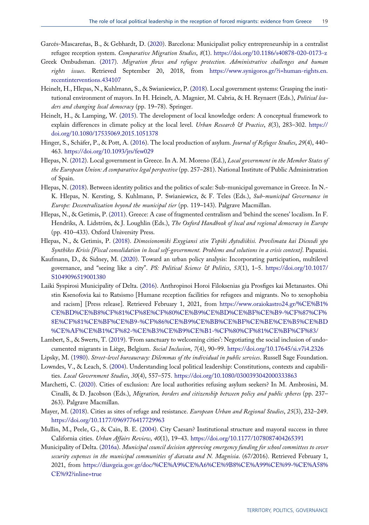- <span id="page-19-5"></span>Garcés-Mascareñas, B., & Gebhardt, D. [\(2020](#page-2-3)). Barcelona: Municipalist policy entrepreneurship in a centralist refugee reception system. Comparative Migration Studies, 8(1). <https://doi.org/10.1186/s40878-020-0173-z>
- <span id="page-19-4"></span>Greek Ombudsman. [\(2017](#page-2-4)). Migration flows and refugee protection. Administrative challenges and human rights issues. Retrieved September 20, 2018, from [https://www.synigoros.gr/?i=human-rights.en.](https://www.synigoros.gr/?i=human-rights.en.recentinterventions.434107) [recentinterventions.434107](https://www.synigoros.gr/?i=human-rights.en.recentinterventions.434107)
- <span id="page-19-8"></span>Heinelt, H., Hlepas, N., Kuhlmann, S., & Swianiewicz, P. ([2018](#page-4-3)). Local government systems: Grasping the institutional environment of mayors. In H. Heinelt, A. Magnier, M. Cabria, & H. Reynaert (Eds.), Political leaders and changing local democracy (pp. 19-78). Springer.
- <span id="page-19-7"></span>Heinelt, H., & Lamping, W. [\(2015](#page-3-1)). The development of local knowledge orders: A conceptual framework to explain differences in climate policy at the local level. Urban Research & Practice, 8(3), 283-302. [https://](https://doi.org/10.1080/17535069.2015.1051378) [doi.org/10.1080/17535069.2015.1051378](https://doi.org/10.1080/17535069.2015.1051378)
- <span id="page-19-0"></span>Hinger, S., Schäfer, P., & Pott, A. [\(2016](#page-1-0)). The local production of asylum. Journal of Refugee Studies, 29(4), 440-463. <https://doi.org/10.1093/jrs/few029>
- <span id="page-19-12"></span>Hlepas, N. [\(2012](#page-6-2)). Local government in Greece. In A. M. Moreno (Ed.), Local government in the Member States of the European Union: A comparative legal perspective (pp. 257-281). National Institute of Public Administration of Spain.
- <span id="page-19-17"></span>Hlepas, N. [\(2018](#page-16-0)). Between identity politics and the politics of scale: Sub-municipal governance in Greece. In N.- K. Hlepas, N. Kersting, S. Kuhlmann, P. Swianiewicz, & F. Teles (Eds.), Sub-municipal Governance in Europe: Decentralization beyond the municipal tier (pp. 119–143). Palgrave Macmillan.
- <span id="page-19-13"></span>Hlepas, N., & Getimis, P. [\(2011](#page-6-3)). Greece: A case of fragmented centralism and 'behind the scenes' localism. In F. Hendriks, A. Lidström, & J. Loughlin (Eds.), The Oxford Handbook of local and regional democracy in Europe (pp. 410–433). Oxford University Press.
- <span id="page-19-14"></span>Hlepas, N., & Getimis, P. ([2018\)](#page-8-3). Dimosionomiki Exygiansi stin Topiki Aytodiikisi. Provlimata kai Diexodi ypo Synthikes Krisis [Fiscal consolidation in local self-government. Problems and solutions in a crisis context]. Papazisi.
- <span id="page-19-11"></span>Kaufmann, D., & Sidney, M. [\(2020](#page-4-4)). Toward an urban policy analysis: Incorporating participation, multilevel governance, and "seeing like a city". PS: Political Science & Politics, 53(1), 1-5. [https://doi.org/10.1017/](https://doi.org/10.1017/S1049096519001380) [S1049096519001380](https://doi.org/10.1017/S1049096519001380)
- <span id="page-19-15"></span>Laiki Syspirosi Municipality of Delta. ([2016\)](#page-14-0). Anthropinoi Horoi Filoksenias gia Prosfiges kai Metanastes. Ohi stin Ksenofovia kai to Ratsismo [Humane reception facilities for refugees and migrants. No to xenophobia and racism] [Press release]. Retrieved February 1, 2021, from [https://www.oraiokastro24.gr/%CE%B1%](https://www.oraiokastro24.gr/%CE%B1%CE%BD%CE%B8%CF%81%CF%8E%CF%80%CE%B9%CE%BD%CE%BF%CE%B9-%CF%87%CF%8E%CF%81%CE%BF%CE%B9-%CF%86%CE%B9%CE%BB%CE%BF%CE%BE%CE%B5%CE%BD%CE%AF%CE%B1%CF%82-%CE%B3%CE%B9%CE%B1-%CF%80%CF%81%CE%BF%CF%83/) [CE%BD%CE%B8%CF%81%CF%8E%CF%80%CE%B9%CE%BD%CE%BF%CE%B9-%CF%87%CF%](https://www.oraiokastro24.gr/%CE%B1%CE%BD%CE%B8%CF%81%CF%8E%CF%80%CE%B9%CE%BD%CE%BF%CE%B9-%CF%87%CF%8E%CF%81%CE%BF%CE%B9-%CF%86%CE%B9%CE%BB%CE%BF%CE%BE%CE%B5%CE%BD%CE%AF%CE%B1%CF%82-%CE%B3%CE%B9%CE%B1-%CF%80%CF%81%CE%BF%CF%83/) [8E%CF%81%CE%BF%CE%B9-%CF%86%CE%B9%CE%BB%CE%BF%CE%BE%CE%B5%CE%BD](https://www.oraiokastro24.gr/%CE%B1%CE%BD%CE%B8%CF%81%CF%8E%CF%80%CE%B9%CE%BD%CE%BF%CE%B9-%CF%87%CF%8E%CF%81%CE%BF%CE%B9-%CF%86%CE%B9%CE%BB%CE%BF%CE%BE%CE%B5%CE%BD%CE%AF%CE%B1%CF%82-%CE%B3%CE%B9%CE%B1-%CF%80%CF%81%CE%BF%CF%83/) [%CE%AF%CE%B1%CF%82-%CE%B3%CE%B9%CE%B1-%CF%80%CF%81%CE%BF%CF%83/](https://www.oraiokastro24.gr/%CE%B1%CE%BD%CE%B8%CF%81%CF%8E%CF%80%CE%B9%CE%BD%CE%BF%CE%B9-%CF%87%CF%8E%CF%81%CE%BF%CE%B9-%CF%86%CE%B9%CE%BB%CE%BF%CE%BE%CE%B5%CE%BD%CE%AF%CE%B1%CF%82-%CE%B3%CE%B9%CE%B1-%CF%80%CF%81%CE%BF%CF%83/)
- <span id="page-19-2"></span>Lambert, S., & Swerts, T. ([2019\)](#page-2-5). 'From sanctuary to welcoming cities': Negotiating the social inclusion of undocumented migrants in Liège, Belgium. Social Inclusion, 7(4), 90–99. <https://doi.org/10.17645/si.v7i4.2326>
- <span id="page-19-10"></span><span id="page-19-6"></span>Lipsky, M. ([1980\)](#page-4-5). Street-level bureaucracy: Dilemmas of the individual in public services. Russell Sage Foundation.
- Lowndes, V., & Leach, S. [\(2004](#page-3-3)). Understanding local political leadership: Constitutions, contexts and capabilities. Local Government Studies, 30(4), 557-575. <https://doi.org/10.1080/0300393042000333863>
- <span id="page-19-1"></span>Marchetti, C. [\(2020](#page-1-1)). Cities of exclusion: Are local authorities refusing asylum seekers? In M. Ambrosini, M. Cinalli, & D. Jacobson (Eds.), Migration, borders and citizenship between policy and public spheres (pp. 237– 263). Palgrave Macmillan.
- <span id="page-19-3"></span>Mayer, M. ([2018\)](#page-2-5). Cities as sites of refuge and resistance. European Urban and Regional Studies, 25(3), 232–249. <https://doi.org/10.1177/0969776417729963>
- <span id="page-19-9"></span>Mullin, M., Peele, G., & Cain, B. E. ([2004\)](#page-4-6). City Caesars? Institutional structure and mayoral success in three California cities. Urban Affairs Review, 40(1), 19–43. <https://doi.org/10.1177/1078087404265391>
- <span id="page-19-16"></span>Municipality of Delta. ([2016a](#page-14-1)). Municipal council decision approving emergency funding for school committees to cover security expenses in the municipal communities of diavata and N. Magnisia. (67/2016). Retrieved February 1, 2021, from [https://diavgeia.gov.gr/doc/%CE%A9%CE%A6%CE%9B8%CE%A99%CE%99-%CE%A58%](https://diavgeia.gov.gr/doc/%CE%A9%CE%A6%CE%9B8%CE%A99%CE%99-%CE%A58%CE%92?inline=true) [CE%92?inline=true](https://diavgeia.gov.gr/doc/%CE%A9%CE%A6%CE%9B8%CE%A99%CE%99-%CE%A58%CE%92?inline=true)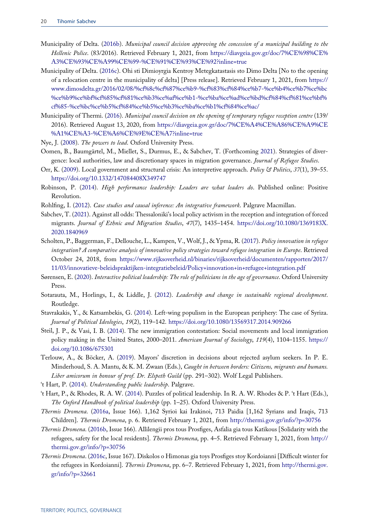- <span id="page-20-18"></span>Municipality of Delta. [\(2016b\)](#page-14-1). Municipal council decision approving the concession of a municipal building to the Hellenic Police. (83/2016). Retrieved February 1, 2021, from [https://diavgeia.gov.gr/doc/7%CE%98%CE%](https://diavgeia.gov.gr/doc/7%CE%98%CE%A3%CE%93%CE%A99%CE%99-%CE%91%CE%93%CE%92?inline=true) [A3%CE%93%CE%A99%CE%99-%CE%91%CE%93%CE%92?inline=true](https://diavgeia.gov.gr/doc/7%CE%98%CE%A3%CE%93%CE%A99%CE%99-%CE%91%CE%93%CE%92?inline=true)
- <span id="page-20-17"></span>Municipality of Delta. ([2016c](#page-14-2)). Ohi sti Dimioyrgia Kentroy Metegkatastasis sto Dimo Delta [No to the opening of a relocation centre in the municipality of delta] [Press release]. Retrieved February 1, 2021, from [https://](https://www.dimosdelta.gr/2016/02/08/%cf%8c%cf%87%ce%b9-%cf%83%cf%84%ce%b7-%ce%b4%ce%b7%ce%bc%ce%b9%ce%bf%cf%85%cf%81%ce%b3%ce%af%ce%b1-%ce%ba%ce%ad%ce%bd%cf%84%cf%81%ce%bf%cf%85-%ce%bc%ce%b5%cf%84%ce%b5%ce%b3%ce%ba%ce%b1%cf%84%ce%ac/) [www.dimosdelta.gr/2016/02/08/%cf%8c%cf%87%ce%b9-%cf%83%cf%84%ce%b7-%ce%b4%ce%b7%ce%bc](https://www.dimosdelta.gr/2016/02/08/%cf%8c%cf%87%ce%b9-%cf%83%cf%84%ce%b7-%ce%b4%ce%b7%ce%bc%ce%b9%ce%bf%cf%85%cf%81%ce%b3%ce%af%ce%b1-%ce%ba%ce%ad%ce%bd%cf%84%cf%81%ce%bf%cf%85-%ce%bc%ce%b5%cf%84%ce%b5%ce%b3%ce%ba%ce%b1%cf%84%ce%ac/) [%ce%b9%ce%bf%cf%85%cf%81%ce%b3%ce%af%ce%b1-%ce%ba%ce%ad%ce%bd%cf%84%cf%81%ce%bf%](https://www.dimosdelta.gr/2016/02/08/%cf%8c%cf%87%ce%b9-%cf%83%cf%84%ce%b7-%ce%b4%ce%b7%ce%bc%ce%b9%ce%bf%cf%85%cf%81%ce%b3%ce%af%ce%b1-%ce%ba%ce%ad%ce%bd%cf%84%cf%81%ce%bf%cf%85-%ce%bc%ce%b5%cf%84%ce%b5%ce%b3%ce%ba%ce%b1%cf%84%ce%ac/) [cf%85-%ce%bc%ce%b5%cf%84%ce%b5%ce%b3%ce%ba%ce%b1%cf%84%ce%ac/](https://www.dimosdelta.gr/2016/02/08/%cf%8c%cf%87%ce%b9-%cf%83%cf%84%ce%b7-%ce%b4%ce%b7%ce%bc%ce%b9%ce%bf%cf%85%cf%81%ce%b3%ce%af%ce%b1-%ce%ba%ce%ad%ce%bd%cf%84%cf%81%ce%bf%cf%85-%ce%bc%ce%b5%cf%84%ce%b5%ce%b3%ce%ba%ce%b1%cf%84%ce%ac/)
- <span id="page-20-13"></span>Municipality of Thermi. ([2016\)](#page-12-0). Municipal council decision on the opening of temporary refugee reception centre (139/ 2016). Retrieved August 13, 2020, from [https://diavgeia.gov.gr/doc/7%CE%A4%CE%A86%CE%A9%CE](https://diavgeia.gov.gr/doc/7%CE%A4%CE%A86%CE%A9%CE%A1%CE%A3-%CE%A6%CE%9E%CE%A7?inline=true) [%A1%CE%A3-%CE%A6%CE%9E%CE%A7?inline=true](https://diavgeia.gov.gr/doc/7%CE%A4%CE%A86%CE%A9%CE%A1%CE%A3-%CE%A6%CE%9E%CE%A7?inline=true)
- <span id="page-20-19"></span><span id="page-20-4"></span>Nye, J. ([2008\)](#page-16-1). The powers to lead. Oxford University Press.
- Oomen, B., Baumgärtel, M., Miellet, S., Durmus, E., & Sabchev, T. (Forthcoming [2021](#page-2-6)). Strategies of divergence: local authorities, law and discretionary spaces in migration governance. *Journal of Refugee Studies*.
- <span id="page-20-8"></span>Orr, K. [\(2009](#page-3-4)). Local government and structural crisis: An interpretive approach. Policy & Politics, 37(1), 39–55. <https://doi.org/10.1332/147084408X349747>
- <span id="page-20-9"></span>Robinson, P. [\(2014](#page-5-3)). High performance leadership: Leaders are what leaders do. Published online: Positive Revolution.
- <span id="page-20-11"></span><span id="page-20-2"></span>Rohlfing, I. [\(2012](#page-6-4)). Case studies and causal inference: An integrative framework. Palgrave Macmillan.
- Sabchev, T. [\(2021](#page-2-7)). Against all odds: Thessaloniki's local policy activism in the reception and integration of forced migrants. Journal of Ethnic and Migration Studies, 47(7), 1435–1454. [https://doi.org/10.1080/1369183X.](https://doi.org/10.1080/1369183X.2020.1840969) [2020.1840969](https://doi.org/10.1080/1369183X.2020.1840969)
- <span id="page-20-0"></span>Scholten, P., Baggerman, F., Dellouche, L., Kampen, V., Wolf, J., & Ypma, R. ([2017\)](#page-1-2). Policy innovation in refugee integration? A comparative analysis of innovative policy strategies toward refugee integration in Europe. Retrieved October 24, 2018, from [https://www.rijksoverheid.nl/binaries/rijksoverheid/documenten/rapporten/2017/](https://www.rijksoverheid.nl/binaries/rijksoverheid/documenten/rapporten/2017/11/03/innovatieve-beleidspraktijken-integratiebeleid/Policy+innovation+in+refugee+integration.pdf) [11/03/innovatieve-beleidspraktijken-integratiebeleid/Policy+innovation+in+refugee+integration.pdf](https://www.rijksoverheid.nl/binaries/rijksoverheid/documenten/rapporten/2017/11/03/innovatieve-beleidspraktijken-integratiebeleid/Policy+innovation+in+refugee+integration.pdf)
- <span id="page-20-5"></span>Sørensen, E. [\(2020](#page-3-5)). Interactive political leadership: The role of politicians in the age of governance. Oxford University Press.
- <span id="page-20-3"></span>Sotarauta, M., Horlings, I., & Liddle, J. ([2012\)](#page-2-8). Leadership and change in sustainable regional development. Routledge.
- <span id="page-20-12"></span>Stavrakakis, Y., & Katsambekis, G. [\(2014](#page-10-1)). Left-wing populism in the European periphery: The case of Syriza. Journal of Political Ideologies, 19(2), 119–142. <https://doi.org/10.1080/13569317.2014.909266>
- <span id="page-20-10"></span>Steil, J. P., & Vasi, I. B. [\(2014](#page-5-4)). The new immigration contestation: Social movements and local immigration policy making in the United States, 2000-2011. American Journal of Sociology, 119(4), 1104-1155. [https://](https://doi.org/10.1086/675301) [doi.org/10.1086/675301](https://doi.org/10.1086/675301)
- <span id="page-20-1"></span>Terlouw, A., & Böcker, A. [\(2019](#page-2-6)). Mayors' discretion in decisions about rejected asylum seekers. In P. E. Minderhoud, S. A. Mantu, & K. M. Zwaan (Eds.), Caught in between borders: Citizens, migrants and humans. Liber amicorum in honour of prof. Dr. Elspeth Guild (pp. 291-302). Wolf Legal Publishers.
- <span id="page-20-7"></span><span id="page-20-6"></span>'t Hart, P. [\(2014](#page-3-6)). Understanding public leadership. Palgrave.
- 't Hart, P., & Rhodes, R. A. W. ([2014\)](#page-3-7). Puzzles of political leadership. In R. A. W. Rhodes & P. 't Hart (Eds.), The Oxford Handbook of political leadership (pp. 1–25). Oxford University Press.
- <span id="page-20-14"></span>Thermis Dromena. [\(2016a](#page-12-1), Issue 166). 1,162 Syrioi kai Irakinoi, 713 Paidia [1,162 Syrians and Iraqis, 713 Children]. Thermis Dromena, p. 6. Retrieved February 1, 2021, from <http://thermi.gov.gr/info/?p=30756>
- <span id="page-20-15"></span>Thermis Dromena. ([2016b,](#page-13-1) Issue 166). Allilengii pros tous Prosfiges, Asfalia gia tous Katikous [Solidarity with the refugees, safety for the local residents]. Thermis Dromena, pp. 4–5. Retrieved February 1, 2021, from [http://](http://thermi.gov.gr/info/?p=30756) [thermi.gov.gr/info/?p=30756](http://thermi.gov.gr/info/?p=30756)
- <span id="page-20-16"></span>Thermis Dromena. [\(2016c,](#page-13-2) Issue 167). Diskolos o Himonas gia toys Prosfiges stoy Kordoianni [Difficult winter for the refugees in Kordoianni]. *Thermis Dromena*, pp. 6–7. Retrieved February 1, 2021, from [http://thermi.gov.](http://thermi.gov.gr/info/?p=32661) [gr/info/?p=32661](http://thermi.gov.gr/info/?p=32661)